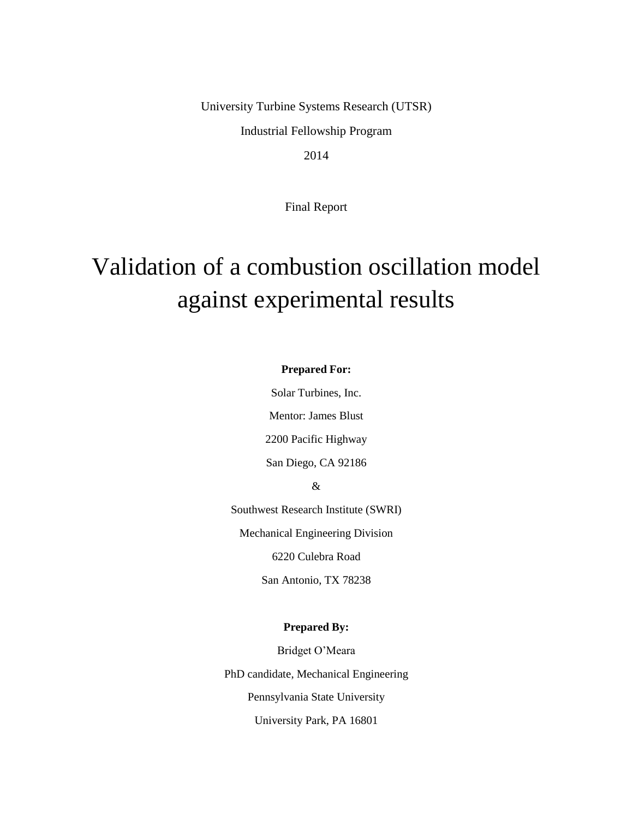University Turbine Systems Research (UTSR)

Industrial Fellowship Program

2014

Final Report

# Validation of a combustion oscillation model against experimental results

#### **Prepared For:**

Solar Turbines, Inc.

Mentor: James Blust

2200 Pacific Highway

San Diego, CA 92186

&

Southwest Research Institute (SWRI)

Mechanical Engineering Division

6220 Culebra Road

San Antonio, TX 78238

#### **Prepared By:**

Bridget O'Meara PhD candidate, Mechanical Engineering Pennsylvania State University University Park, PA 16801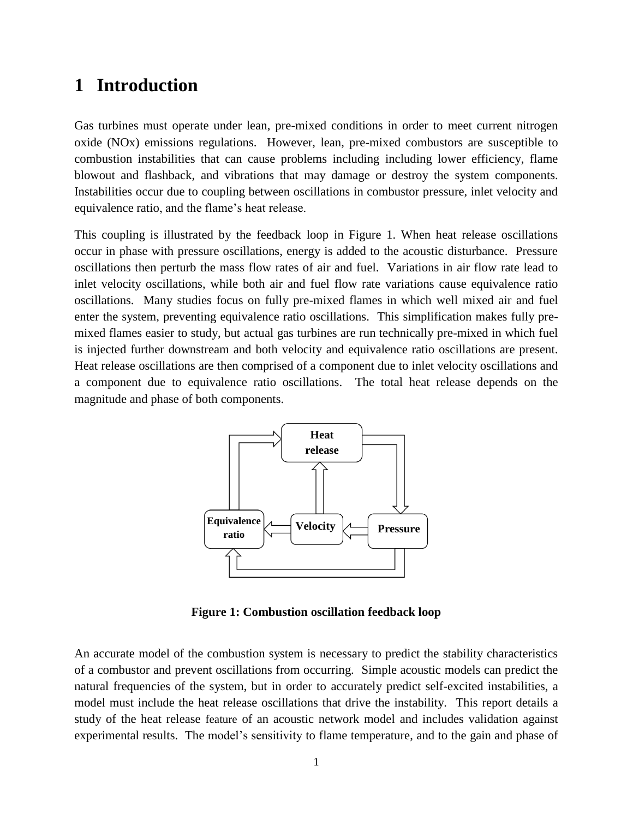### **1 Introduction**

Gas turbines must operate under lean, pre-mixed conditions in order to meet current nitrogen oxide (NOx) emissions regulations. However, lean, pre-mixed combustors are susceptible to combustion instabilities that can cause problems including including lower efficiency, flame blowout and flashback, and vibrations that may damage or destroy the system components. Instabilities occur due to coupling between oscillations in combustor pressure, inlet velocity and equivalence ratio, and the flame's heat release.

This coupling is illustrated by the feedback loop in [Figure 1.](#page-1-0) When heat release oscillations occur in phase with pressure oscillations, energy is added to the acoustic disturbance. Pressure oscillations then perturb the mass flow rates of air and fuel. Variations in air flow rate lead to inlet velocity oscillations, while both air and fuel flow rate variations cause equivalence ratio oscillations. Many studies focus on fully pre-mixed flames in which well mixed air and fuel enter the system, preventing equivalence ratio oscillations. This simplification makes fully premixed flames easier to study, but actual gas turbines are run technically pre-mixed in which fuel is injected further downstream and both velocity and equivalence ratio oscillations are present. Heat release oscillations are then comprised of a component due to inlet velocity oscillations and a component due to equivalence ratio oscillations. The total heat release depends on the magnitude and phase of both components.



**Figure 1: Combustion oscillation feedback loop**

<span id="page-1-0"></span>An accurate model of the combustion system is necessary to predict the stability characteristics of a combustor and prevent oscillations from occurring. Simple acoustic models can predict the natural frequencies of the system, but in order to accurately predict self-excited instabilities, a model must include the heat release oscillations that drive the instability. This report details a study of the heat release feature of an acoustic network model and includes validation against experimental results. The model's sensitivity to flame temperature, and to the gain and phase of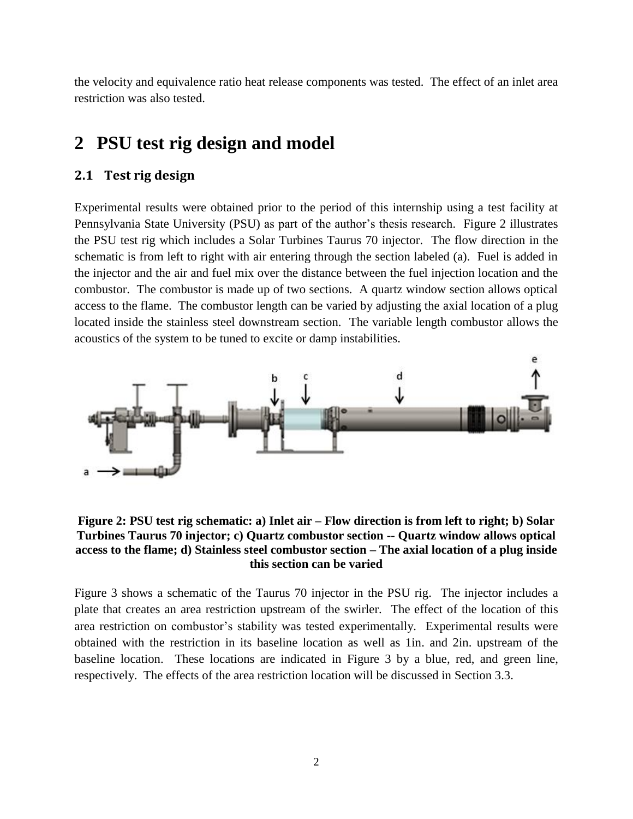the velocity and equivalence ratio heat release components was tested. The effect of an inlet area restriction was also tested.

# **2 PSU test rig design and model**

### **2.1 Test rig design**

Experimental results were obtained prior to the period of this internship using a test facility at Pennsylvania State University (PSU) as part of the author's thesis research. [Figure 2](#page-2-0) illustrates the PSU test rig which includes a Solar Turbines Taurus 70 injector. The flow direction in the schematic is from left to right with air entering through the section labeled (a). Fuel is added in the injector and the air and fuel mix over the distance between the fuel injection location and the combustor. The combustor is made up of two sections. A quartz window section allows optical access to the flame. The combustor length can be varied by adjusting the axial location of a plug located inside the stainless steel downstream section. The variable length combustor allows the acoustics of the system to be tuned to excite or damp instabilities.



<span id="page-2-0"></span>**Figure 2: PSU test rig schematic: a) Inlet air – Flow direction is from left to right; b) Solar Turbines Taurus 70 injector; c) Quartz combustor section -- Quartz window allows optical access to the flame; d) Stainless steel combustor section – The axial location of a plug inside this section can be varied**

[Figure 3](#page-3-0) shows a schematic of the Taurus 70 injector in the PSU rig. The injector includes a plate that creates an area restriction upstream of the swirler. The effect of the location of this area restriction on combustor's stability was tested experimentally. Experimental results were obtained with the restriction in its baseline location as well as 1in. and 2in. upstream of the baseline location. These locations are indicated in [Figure 3](#page-3-0) by a blue, red, and green line, respectively. The effects of the area restriction location will be discussed in Section [3.3.](#page-7-0)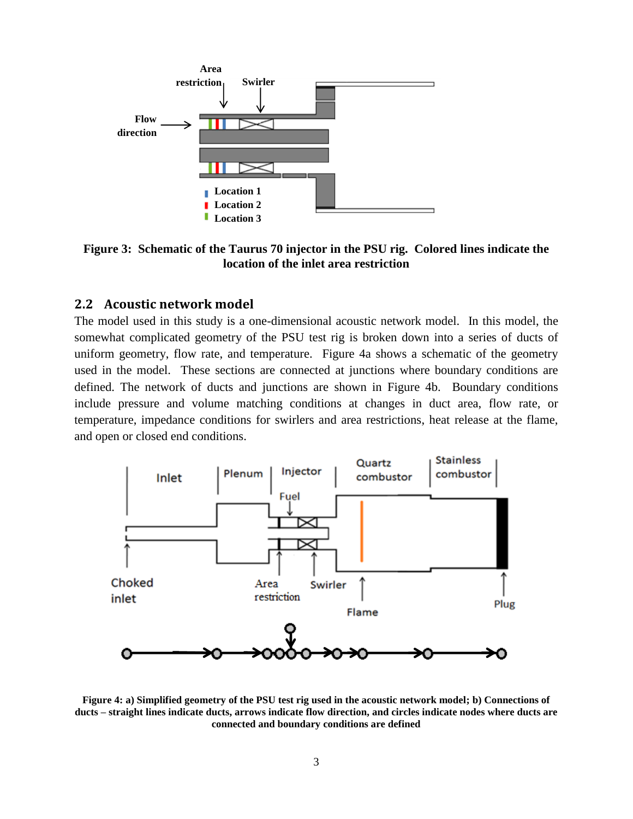

<span id="page-3-0"></span>**Figure 3: Schematic of the Taurus 70 injector in the PSU rig. Colored lines indicate the location of the inlet area restriction**

#### **2.2 Acoustic network model**

The model used in this study is a one-dimensional acoustic network model. In this model, the somewhat complicated geometry of the PSU test rig is broken down into a series of ducts of uniform geometry, flow rate, and temperature. [Figure 4a](#page-3-1) shows a schematic of the geometry used in the model. These sections are connected at junctions where boundary conditions are defined. The network of ducts and junctions are shown in [Figure 4b](#page-3-1). Boundary conditions include pressure and volume matching conditions at changes in duct area, flow rate, or temperature, impedance conditions for swirlers and area restrictions, heat release at the flame, and open or closed end conditions.



<span id="page-3-1"></span>**Figure 4: a) Simplified geometry of the PSU test rig used in the acoustic network model; b) Connections of ducts – straight lines indicate ducts, arrows indicate flow direction, and circles indicate nodes where ducts are connected and boundary conditions are defined**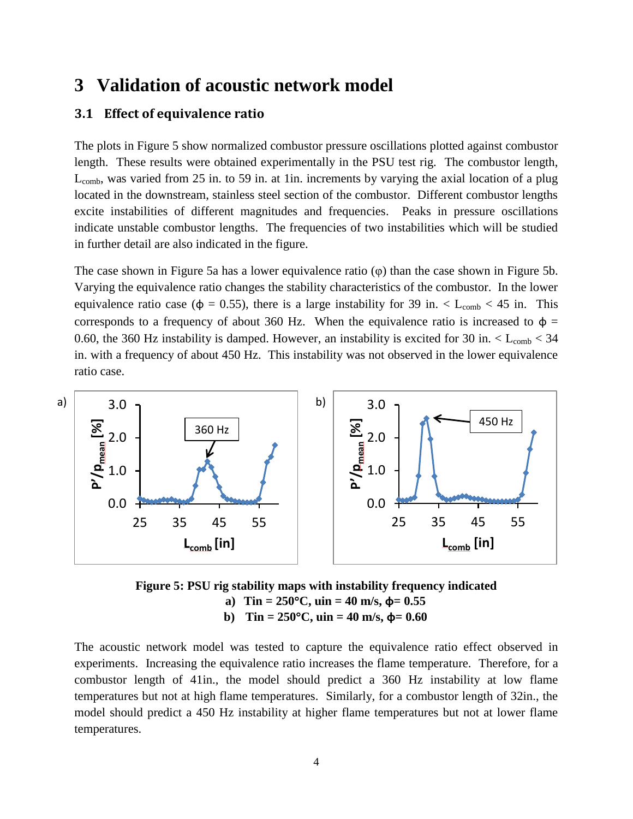### **3 Validation of acoustic network model**

### **3.1 Effect of equivalence ratio**

The plots in [Figure 5](#page-4-0) show normalized combustor pressure oscillations plotted against combustor length. These results were obtained experimentally in the PSU test rig. The combustor length,  $L_{comb}$ , was varied from 25 in. to 59 in. at 1in. increments by varying the axial location of a plug located in the downstream, stainless steel section of the combustor. Different combustor lengths excite instabilities of different magnitudes and frequencies. Peaks in pressure oscillations indicate unstable combustor lengths. The frequencies of two instabilities which will be studied in further detail are also indicated in the figure.

The case shown in [Figure 5a](#page-4-0) has a lower equivalence ratio (φ) than the case shown in [Figure 5b](#page-4-0). Varying the equivalence ratio changes the stability characteristics of the combustor. In the lower equivalence ratio case ( $\phi = 0.55$ ), there is a large instability for 39 in. < L<sub>comb</sub> < 45 in. This corresponds to a frequency of about 360 Hz. When the equivalence ratio is increased to  $\phi$  = 0.60, the 360 Hz instability is damped. However, an instability is excited for 30 in.  $\langle L_{\text{comb}} \rangle$  = 34 in. with a frequency of about 450 Hz. This instability was not observed in the lower equivalence ratio case.



<span id="page-4-0"></span>**Figure 5: PSU rig stability maps with instability frequency indicated a**) **Tin** =  $250^{\circ}$ C, **uin** =  $40$  **m**/s,  $\phi$ = 0.55 **b**) **Tin** =  $250^{\circ}$ C, **uin** =  $40$  **m**/s,  $\phi$ = 0.60

The acoustic network model was tested to capture the equivalence ratio effect observed in experiments. Increasing the equivalence ratio increases the flame temperature. Therefore, for a combustor length of 41in., the model should predict a 360 Hz instability at low flame temperatures but not at high flame temperatures. Similarly, for a combustor length of 32in., the model should predict a 450 Hz instability at higher flame temperatures but not at lower flame temperatures.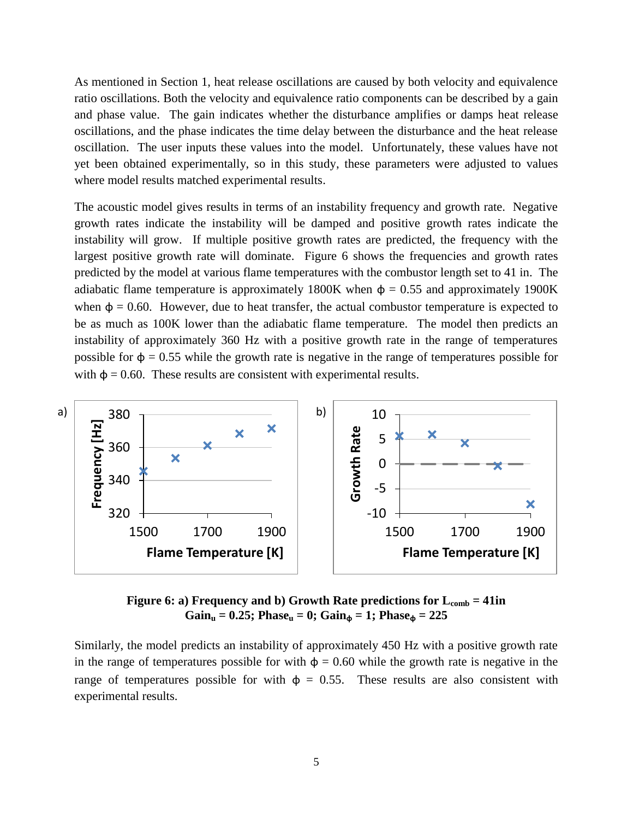As mentioned in Section 1, heat release oscillations are caused by both velocity and equivalence ratio oscillations. Both the velocity and equivalence ratio components can be described by a gain and phase value. The gain indicates whether the disturbance amplifies or damps heat release oscillations, and the phase indicates the time delay between the disturbance and the heat release oscillation. The user inputs these values into the model. Unfortunately, these values have not yet been obtained experimentally, so in this study, these parameters were adjusted to values where model results matched experimental results.

The acoustic model gives results in terms of an instability frequency and growth rate. Negative growth rates indicate the instability will be damped and positive growth rates indicate the instability will grow. If multiple positive growth rates are predicted, the frequency with the largest positive growth rate will dominate. [Figure 6](#page-5-0) shows the frequencies and growth rates predicted by the model at various flame temperatures with the combustor length set to 41 in. The adiabatic flame temperature is approximately 1800K when  $\phi = 0.55$  and approximately 1900K when  $\phi = 0.60$ . However, due to heat transfer, the actual combustor temperature is expected to be as much as 100K lower than the adiabatic flame temperature. The model then predicts an instability of approximately 360 Hz with a positive growth rate in the range of temperatures possible for  $\phi = 0.55$  while the growth rate is negative in the range of temperatures possible for with  $\phi = 0.60$ . These results are consistent with experimental results.



**Figure 6: a) Frequency and b) Growth Rate predictions for**  $L_{comb} = 41$ **in**  $Gain_u = 0.25$ ;  $Phase_u = 0$ ;  $Gain_\phi = 1$ ;  $Phase_\phi = 225$ 

<span id="page-5-0"></span>Similarly, the model predicts an instability of approximately 450 Hz with a positive growth rate in the range of temperatures possible for with  $\phi = 0.60$  while the growth rate is negative in the range of temperatures possible for with  $\phi = 0.55$ . These results are also consistent with experimental results.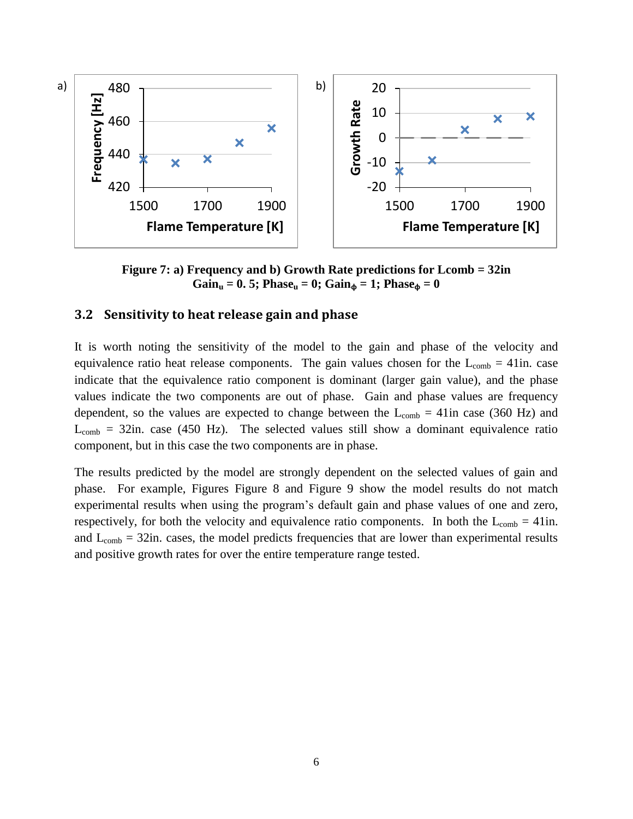

**Figure 7: a) Frequency and b) Growth Rate predictions for Lcomb = 32in**  $Gain_u = 0.5$ ; Phase<sub>**u**</sub> = 0;  $Gain_{\phi} = 1$ ; Phase<sub> $\phi$ </sub> = 0

### **3.2 Sensitivity to heat release gain and phase**

It is worth noting the sensitivity of the model to the gain and phase of the velocity and equivalence ratio heat release components. The gain values chosen for the  $L_{comb} = 41$ in. case indicate that the equivalence ratio component is dominant (larger gain value), and the phase values indicate the two components are out of phase. Gain and phase values are frequency dependent, so the values are expected to change between the  $L_{comb} = 41$ in case (360 Hz) and  $L_{comb}$  = 32in. case (450 Hz). The selected values still show a dominant equivalence ratio component, but in this case the two components are in phase.

The results predicted by the model are strongly dependent on the selected values of gain and phase. For example, Figures [Figure 8](#page-7-1) and [Figure 9](#page-7-2) show the model results do not match experimental results when using the program's default gain and phase values of one and zero, respectively, for both the velocity and equivalence ratio components. In both the  $L_{comb} = 41$ in. and  $L_{comb} = 32$ in. cases, the model predicts frequencies that are lower than experimental results and positive growth rates for over the entire temperature range tested.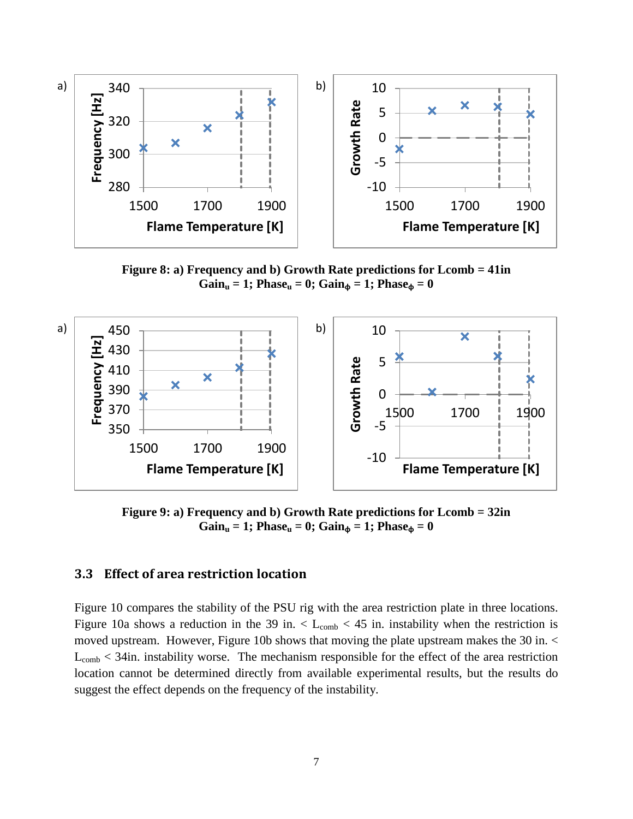

<span id="page-7-1"></span>**Figure 8: a) Frequency and b) Growth Rate predictions for Lcomb = 41in**  $Gain_u = 1$ ;  $Phase_u = 0$ ;  $Gain_\phi = 1$ ;  $Phase_\phi = 0$ 



<span id="page-7-2"></span>**Figure 9: a) Frequency and b) Growth Rate predictions for Lcomb = 32in**  $Gain_u = 1$ ;  $Phase_u = 0$ ;  $Gain_\phi = 1$ ;  $Phase_\phi = 0$ 

### <span id="page-7-0"></span>**3.3 Effect of area restriction location**

[Figure 10](#page-8-0) compares the stability of the PSU rig with the area restriction plate in three locations. [Figure 10a](#page-8-0) shows a reduction in the 39 in.  $\lt L_{\rm comb}$   $\lt 45$  in. instability when the restriction is moved upstream. However, [Figure 10b](#page-8-0) shows that moving the plate upstream makes the 30 in. <  $L_{comb}$  < 34in. instability worse. The mechanism responsible for the effect of the area restriction location cannot be determined directly from available experimental results, but the results do suggest the effect depends on the frequency of the instability.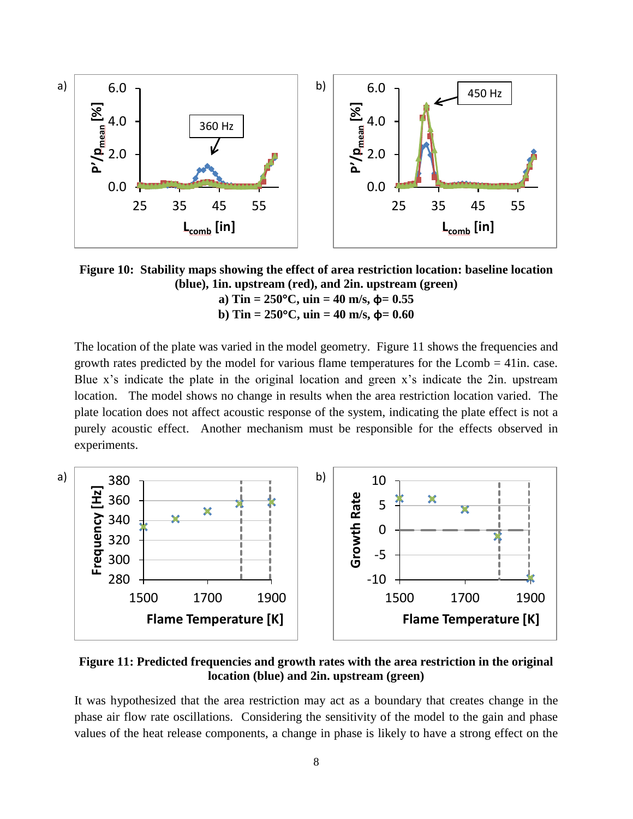

<span id="page-8-0"></span>**Figure 10: Stability maps showing the effect of area restriction location: baseline location (blue), 1in. upstream (red), and 2in. upstream (green) a**) Tin =  $250^{\circ}$ C, uin =  $40$  m/s,  $\phi$ = 0.55

**b**) Tin =  $250^{\circ}$ C, uin =  $40$  m/s,  $\phi$ = 0.60

The location of the plate was varied in the model geometry. [Figure 11](#page-8-1) shows the frequencies and growth rates predicted by the model for various flame temperatures for the  $Lcomb = 41$ in. case. Blue x's indicate the plate in the original location and green x's indicate the 2in. upstream location. The model shows no change in results when the area restriction location varied. The plate location does not affect acoustic response of the system, indicating the plate effect is not a purely acoustic effect. Another mechanism must be responsible for the effects observed in experiments.





<span id="page-8-1"></span>**Figure 11: Predicted frequencies and growth rates with the area restriction in the original location (blue) and 2in. upstream (green)**

It was hypothesized that the area restriction may act as a boundary that creates change in the phase air flow rate oscillations. Considering the sensitivity of the model to the gain and phase values of the heat release components, a change in phase is likely to have a strong effect on the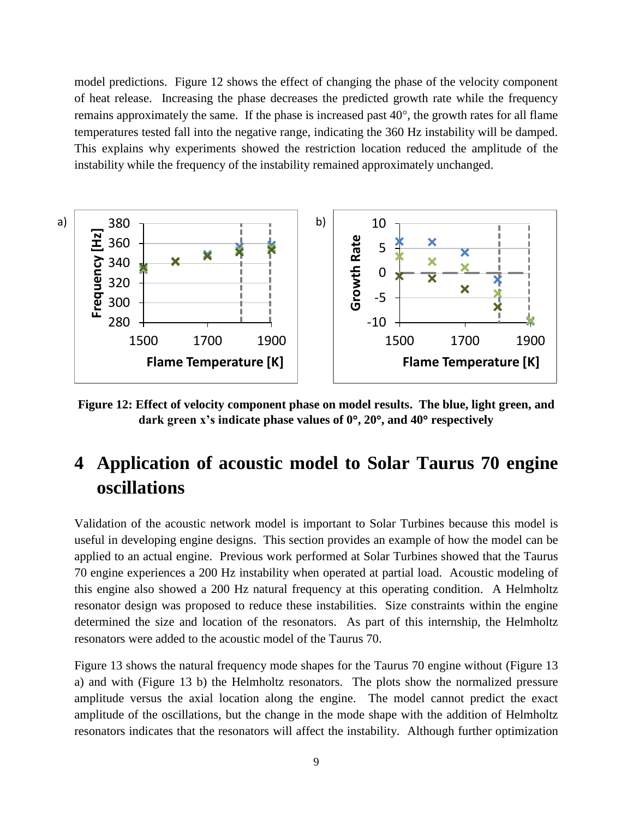model predictions. [Figure 12](#page-9-0) shows the effect of changing the phase of the velocity component of heat release. Increasing the phase decreases the predicted growth rate while the frequency remains approximately the same. If the phase is increased past  $40^{\circ}$ , the growth rates for all flame temperatures tested fall into the negative range, indicating the 360 Hz instability will be damped. This explains why experiments showed the restriction location reduced the amplitude of the instability while the frequency of the instability remained approximately unchanged.



<span id="page-9-0"></span>**Figure 12: Effect of velocity component phase on model results. The blue, light green, and dark green x's indicate phase values of 0, 20, and 40 respectively**

# **4 Application of acoustic model to Solar Taurus 70 engine oscillations**

Validation of the acoustic network model is important to Solar Turbines because this model is useful in developing engine designs. This section provides an example of how the model can be applied to an actual engine. Previous work performed at Solar Turbines showed that the Taurus 70 engine experiences a 200 Hz instability when operated at partial load. Acoustic modeling of this engine also showed a 200 Hz natural frequency at this operating condition. A Helmholtz resonator design was proposed to reduce these instabilities. Size constraints within the engine determined the size and location of the resonators. As part of this internship, the Helmholtz resonators were added to the acoustic model of the Taurus 70.

[Figure 13](#page-10-0) shows the natural frequency mode shapes for the Taurus 70 engine without [\(Figure](#page-10-0) 13 a) and with [\(Figure](#page-10-0) 13 b) the Helmholtz resonators. The plots show the normalized pressure amplitude versus the axial location along the engine. The model cannot predict the exact amplitude of the oscillations, but the change in the mode shape with the addition of Helmholtz resonators indicates that the resonators will affect the instability. Although further optimization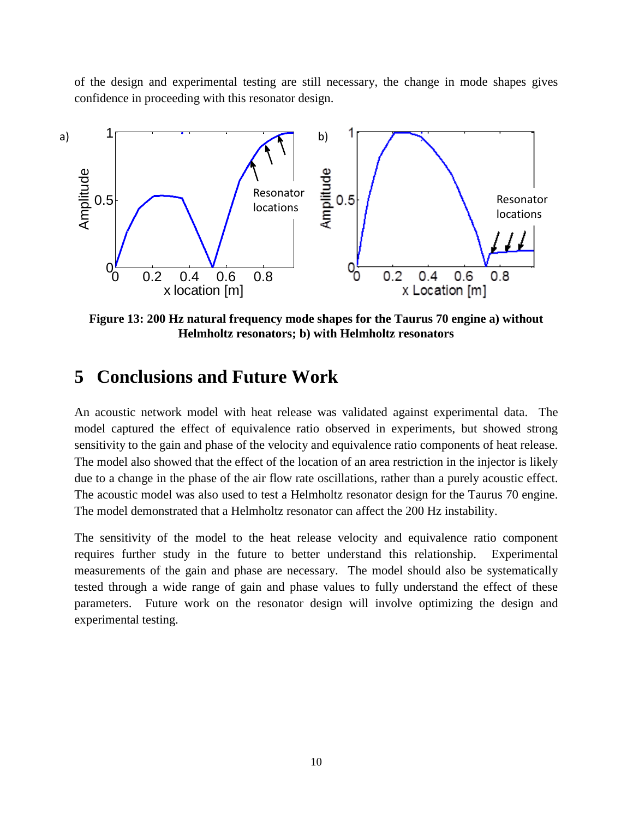of the design and experimental testing are still necessary, the change in mode shapes gives confidence in proceeding with this resonator design.



<span id="page-10-0"></span>**Figure 13: 200 Hz natural frequency mode shapes for the Taurus 70 engine a) without Helmholtz resonators; b) with Helmholtz resonators**

### **5 Conclusions and Future Work**

An acoustic network model with heat release was validated against experimental data. The model captured the effect of equivalence ratio observed in experiments, but showed strong sensitivity to the gain and phase of the velocity and equivalence ratio components of heat release. The model also showed that the effect of the location of an area restriction in the injector is likely due to a change in the phase of the air flow rate oscillations, rather than a purely acoustic effect. The acoustic model was also used to test a Helmholtz resonator design for the Taurus 70 engine. The model demonstrated that a Helmholtz resonator can affect the 200 Hz instability.

The sensitivity of the model to the heat release velocity and equivalence ratio component requires further study in the future to better understand this relationship. Experimental measurements of the gain and phase are necessary. The model should also be systematically tested through a wide range of gain and phase values to fully understand the effect of these parameters. Future work on the resonator design will involve optimizing the design and experimental testing.